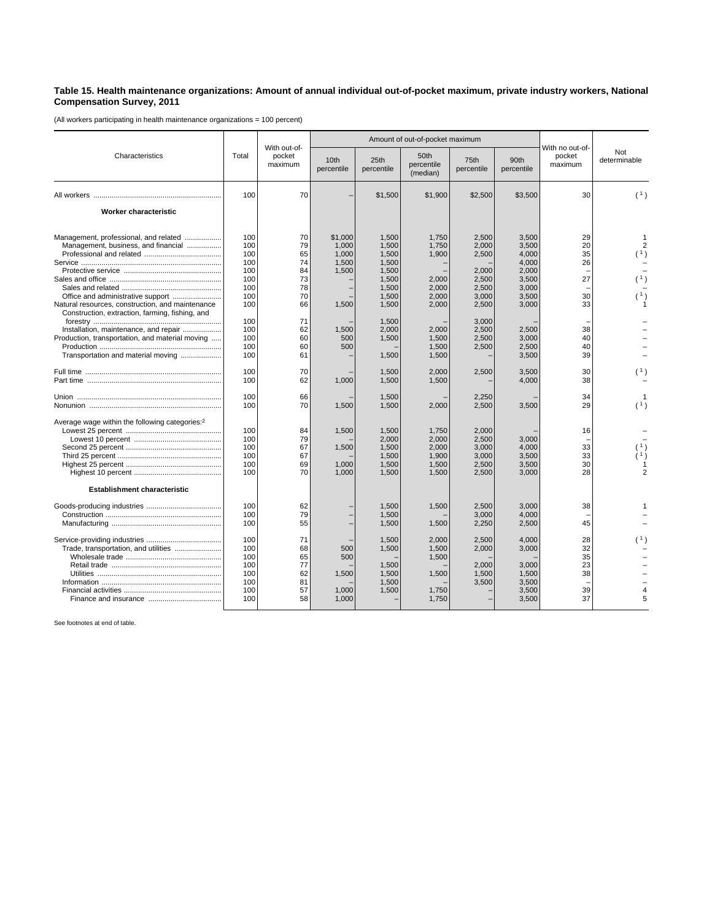## **Table 15. Health maintenance organizations: Amount of annual individual out-of-pocket maximum, private industry workers, National Compensation Survey, 2011**

(All workers participating in health maintenance organizations = 100 percent)

| Characteristics                                                                                     | Total      | With out-of-<br>pocket<br>maximum |                                | Amount of out-of-pocket maximum |                                |                    |                                |                                      |                     |
|-----------------------------------------------------------------------------------------------------|------------|-----------------------------------|--------------------------------|---------------------------------|--------------------------------|--------------------|--------------------------------|--------------------------------------|---------------------|
|                                                                                                     |            |                                   | 10 <sub>th</sub><br>percentile | 25th<br>percentile              | 50th<br>percentile<br>(median) | 75th<br>percentile | 90 <sub>th</sub><br>percentile | With no out-of-<br>pocket<br>maximum | Not<br>determinable |
|                                                                                                     | 100        | 70                                |                                | \$1,500                         | \$1,900                        | \$2,500            | \$3,500                        | 30                                   | (1)                 |
| Worker characteristic                                                                               |            |                                   |                                |                                 |                                |                    |                                |                                      |                     |
| Management, professional, and related                                                               | 100        | 70                                | \$1,000                        | 1,500                           | 1,750                          | 2.500              | 3,500                          | 29                                   |                     |
| Management, business, and financial                                                                 | 100        | 79                                | 1,000                          | 1,500                           | 1,750                          | 2,000              | 3,500                          | 20                                   | $\overline{c}$      |
|                                                                                                     | 100        | 65                                | 1,000                          | 1,500                           | 1,900                          | 2,500              | 4,000                          | 35                                   | (1)                 |
|                                                                                                     | 100        | 74                                | 1,500                          | 1,500                           |                                |                    | 4,000                          | 26                                   |                     |
|                                                                                                     | 100        | 84                                | 1,500                          | 1,500                           |                                | 2.000              | 2,000                          |                                      |                     |
|                                                                                                     | 100        | 73                                |                                | 1,500                           | 2,000                          | 2,500              | 3,500                          | 27                                   | (1)                 |
|                                                                                                     | 100        | 78                                |                                | 1,500                           | 2,000                          | 2,500              | 3,000                          |                                      |                     |
| Office and administrative support                                                                   | 100        | 70                                |                                | 1,500                           | 2,000                          | 3,000              | 3,500                          | 30                                   | (1)                 |
| Natural resources, construction, and maintenance<br>Construction, extraction, farming, fishing, and | 100        | 66                                | 1,500                          | 1,500                           | 2,000                          | 2,500              | 3,000                          | 33                                   |                     |
|                                                                                                     | 100        | 71                                |                                | 1,500                           |                                | 3.000              |                                |                                      |                     |
| Installation, maintenance, and repair                                                               | 100        | 62                                | 1,500                          | 2,000                           | 2.000                          | 2.500              | 2,500                          | 38                                   |                     |
| Production, transportation, and material moving                                                     | 100        | 60                                | 500                            | 1,500                           | 1,500                          | 2,500              | 3,000                          | 40                                   |                     |
|                                                                                                     | 100        | 60                                | 500                            |                                 | 1,500                          | 2,500              | 2,500                          | 40                                   |                     |
| Transportation and material moving                                                                  | 100        | 61                                |                                | 1,500                           | 1,500                          |                    | 3,500                          | 39                                   |                     |
|                                                                                                     | 100        | 70                                |                                | 1,500                           | 2,000                          | 2,500              | 3,500                          | 30                                   | (1)                 |
|                                                                                                     | 100        | 62                                | 1,000                          | 1,500                           | 1,500                          |                    | 4,000                          | 38                                   |                     |
|                                                                                                     | 100        | 66                                |                                | 1,500                           |                                | 2.250              |                                | 34                                   |                     |
|                                                                                                     | 100        | 70                                | 1,500                          | 1,500                           | 2,000                          | 2,500              | 3,500                          | 29                                   | (1)                 |
| Average wage within the following categories: <sup>2</sup>                                          |            |                                   |                                |                                 |                                |                    |                                |                                      |                     |
|                                                                                                     | 100        | 84                                | 1,500                          | 1,500                           | 1,750                          | 2.000              |                                | 16                                   |                     |
|                                                                                                     | 100        | 79                                |                                | 2,000                           | 2,000                          | 2,500              | 3,000                          |                                      |                     |
|                                                                                                     | 100        | 67                                | 1,500                          | 1,500                           | 2,000                          | 3,000              | 4,000                          | 33                                   |                     |
|                                                                                                     | 100        | 67                                |                                | 1,500                           | 1,900                          | 3.000              | 3,500                          | 33                                   |                     |
|                                                                                                     | 100        | 69                                | 1,000                          | 1,500                           | 1,500                          | 2,500              | 3,500                          | 30                                   |                     |
|                                                                                                     | 100        | 70                                | 1,000                          | 1,500                           | 1,500                          | 2,500              | 3,000                          | 28                                   |                     |
| <b>Establishment characteristic</b>                                                                 |            |                                   |                                |                                 |                                |                    |                                |                                      |                     |
|                                                                                                     | 100        | 62                                |                                | 1,500                           | 1,500                          | 2,500              | 3,000                          | 38                                   |                     |
|                                                                                                     | 100        | 79                                |                                | 1,500                           |                                | 3.000              | 4,000                          |                                      |                     |
|                                                                                                     | 100        | 55                                |                                | 1,500                           | 1,500                          | 2,250              | 2,500                          | 45                                   |                     |
|                                                                                                     | 100        | 71                                |                                |                                 |                                |                    |                                | 28                                   |                     |
| Trade, transportation, and utilities                                                                | 100        | 68                                | 500                            | 1,500<br>1,500                  | 2,000<br>1,500                 | 2,500<br>2,000     | 4,000<br>3,000                 | 32                                   |                     |
|                                                                                                     | 100        | 65                                | 500                            |                                 | 1,500                          |                    |                                | 35                                   |                     |
|                                                                                                     |            |                                   |                                |                                 |                                |                    |                                | 23                                   |                     |
|                                                                                                     | 100<br>100 | 77<br>62                          |                                | 1,500<br>1,500                  | 1,500                          | 2,000<br>1,500     | 3,000<br>1,500                 | 38                                   |                     |
|                                                                                                     | 100        | 81                                | 1,500                          | 1,500                           |                                | 3,500              | 3,500                          |                                      |                     |
|                                                                                                     | 100        | 57                                | 1,000                          | 1,500                           | 1,750                          |                    | 3,500                          | 39                                   |                     |
|                                                                                                     | 100        | 58                                | 1,000                          |                                 | 1,750                          |                    | 3,500                          | 37                                   | 5                   |
|                                                                                                     |            |                                   |                                |                                 |                                |                    |                                |                                      |                     |

See footnotes at end of table.